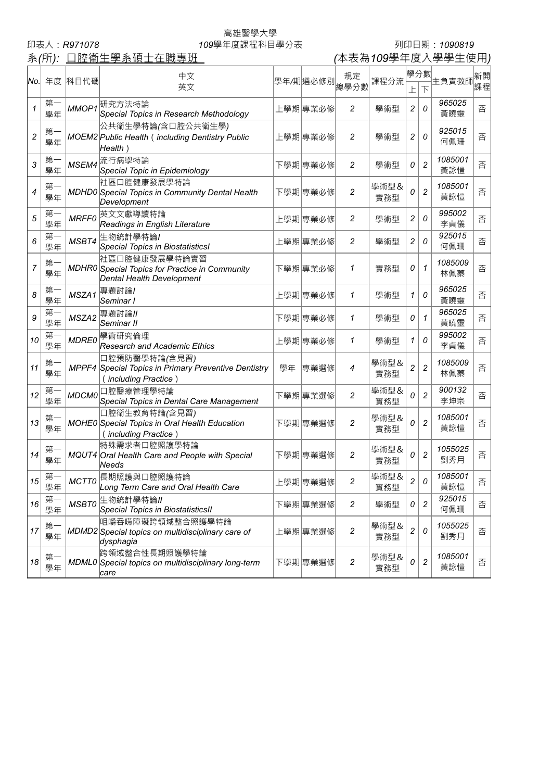系(所): 口腔衛生學系碩士在職專班

## 高雄醫學大學

## 印表人:*R971078 109*學年度課程科目學分表 列印日期:*1090819*

| No.            |          | 年度 科目代碼      | 中文                                                                                            |    | 學年/期選必修別 | 規定               | 課程分流        | 學分數            |                | 主負責教師          | 新開 |
|----------------|----------|--------------|-----------------------------------------------------------------------------------------------|----|----------|------------------|-------------|----------------|----------------|----------------|----|
|                |          |              | 英文                                                                                            |    |          | 總學分數             |             | 上              | 下              |                | 課程 |
| $\mathcal I$   | 第<br>學年  | MMOP1        | 研究方法特論<br>Special Topics in Research Methodology                                              |    | 上學期 專業必修 | 2                | 學術型         | 2              | 0              | 965025<br>黃曉靈  | 否  |
| $\overline{c}$ | 第<br>學年  |              | 公共衛生學特論(含口腔公共衛生學)<br>MOEM2 Public Health (including Dentistry Public<br>Health)               |    | 上學期 專業必修 | $\overline{c}$   | 學術型         | 2              | 0              | 925015<br>何佩珊  | 否  |
| 3              | 第<br>學年  | MSEM4        | 流行病學特論<br>Special Topic in Epidemiology                                                       |    | 下學期傳業必修  | $\overline{c}$   | 學術型         | 0              | $\overline{c}$ | 1085001<br>黃詠愷 | 否  |
| 4              | 第<br>學年  |              | 社區口腔健康發展學特論<br>MDHD0 Special Topics in Community Dental Health<br>Development                 |    | 下學期傳業必修  | $\overline{c}$   | 學術型&<br>實務型 | 0              | $\overline{c}$ | 1085001<br>黃詠愷 | 否  |
| 5              | 第<br>學年  | <b>MRFF0</b> | 英文文獻導讀特論<br>Readings in English Literature                                                    |    | 上學期 專業必修 | 2                | 學術型         | 2              | 0              | 995002<br>李貞儀  | 否  |
| 6              | 第<br>學年  | MSBT4        | 生物統計學特論/<br><b>Special Topics in BiostatisticsI</b>                                           |    | 上學期 專業必修 | 2                | 學術型         | 2              | 0              | 925015<br>何佩珊  | 否  |
| 7              | 第<br>學年  |              | 社區口腔健康發展學特論實習<br>MDHR0 Special Topics for Practice in Community<br>Dental Health Development  |    | 下學期傳業必修  | 1                | 實務型         | 0              | 1              | 1085009<br>林佩蓁 | 否  |
| 8              | 第<br>學年  | MSZA1        | 專題討論/<br>Seminar I                                                                            |    | 上學期 專業必修 | 1                | 學術型         | 1              | 0              | 965025<br>黃曉靈  | 否  |
| 9              | 第<br>學年  | MSZA2        | 專題討論/<br>Seminar II                                                                           |    | 下學期傳業必修  | 1                | 學術型         | 0              | 1              | 965025<br>黃曉靈  | 否  |
| 10             | 第<br>學年  | <b>MDRE0</b> | 學術研究倫理<br>Research and Academic Ethics                                                        |    | 上學期 專業必修 | 1                | 學術型         | 1              | 0              | 995002<br>李貞儀  | 否  |
| 11             | 第<br>學年  |              | 口腔預防醫學特論(含見習)<br>MPPF4 Special Topics in Primary Preventive Dentistry<br>(including Practice) | 學年 | 專業選修     | 4                | 學術型&<br>實務型 | $\overline{c}$ | $\overline{c}$ | 1085009<br>林佩蓁 | 否  |
| 12             | 第<br>學年  | <b>MDCM0</b> | 口腔醫療管理學特論<br>Special Topics in Dental Care Management                                         |    | 下學期傳業選修  | $\overline{c}$   | 學術型&<br>實務型 | 0              | $\overline{c}$ | 900132<br>李坤宗  | 否  |
| 13             | 第<br>學年  |              | 口腔衛生教育特論(含見習)<br>MOHE0 Special Topics in Oral Health Education<br>(including Practice)        |    | 下學期傳業選修  | $\overline{c}$   | 學術型&<br>實務型 | 0              | $\overline{c}$ | 1085001<br>黃詠愷 | 否  |
| 14             | 第<br>學年  |              | 特殊需求者口腔照護學特論<br>MQUT4 Oral Health Care and People with Special<br>Needs                       |    | 下學期傳業選修  | $\overline{c}$   | 學術型&<br>實務型 | 0              | $\overline{2}$ | 1055025<br>劉秀月 | 否  |
| 15             | 第<br>學年  |              | MCTT0 長期照護與口腔照護特論<br>Long Term Care and Oral Health Care                                      |    | 上學期專業選修  | 2                | 學術型&<br>實務型 | $\overline{c}$ | 0              | 1085001<br>黃詠愷 | 否  |
| 16             | 第-<br>學年 | <b>MSBT0</b> | 生物統計學特論/<br><b>Special Topics in BiostatisticsII</b>                                          |    | 下學期傳業選修  | $\overline{c}$   | 學術型         | 0              | $\overline{c}$ | 925015<br>何佩珊  | 否  |
| 17             | 第<br>學年  |              | 咀嚼吞嚥障礙跨領域整合照護學特論<br>MDMD2 Special topics on multidisciplinary care of<br>dysphagia            |    | 上學期 專業選修 | $\boldsymbol{2}$ | 學術型&<br>實務型 | $\overline{c}$ | 0              | 1055025<br>劉秀月 | 否  |
| 18             | 第-<br>學年 |              | 跨領域整合性長期照護學特論<br>MDML0 Special topics on multidisciplinary long-term<br>care                  |    | 下學期傳業選修  | $\boldsymbol{2}$ | 學術型&<br>實務型 | 0              | $\overline{c}$ | 1085001<br>黃詠愷 | 否  |